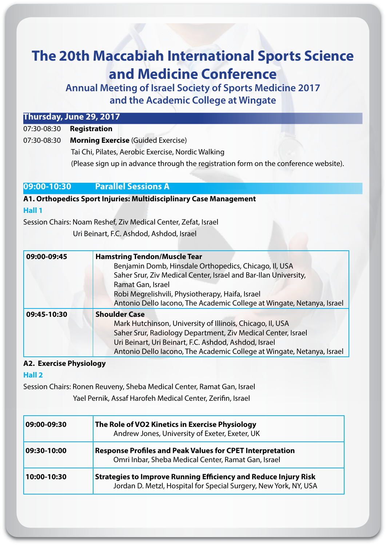# **The 20th Maccabiah International Sports Science and Medicine Conference**

**Annual Meeting of Israel Society of Sports Medicine 2017** and the Academic College at Wingate

#### **7 Thursday, June 29, 2017**

**Registration** 07:30-08:30

07:30-08:30 **Morning Exercise** (Guided Exercise) Tai Chi, Pilates, Aerobic Exercise, Nordic Walking (Please sign up in advance through the registration form on the conference website).

#### **A GOST OF SESSIONS PARALLEL SESSIONS A**

**A1. Orthopedics Sport Injuries: Multidisciplinary Case Management 1 Hall**

Session Chairs: Noam Reshef, Ziv Medical Center, Zefat, Israel

Uri Beinart, F.C. Ashdod, Ashdod, Israel

| 09:00-09:45 | <b>Hamstring Tendon/Muscle Tear</b>                                    |
|-------------|------------------------------------------------------------------------|
|             | Benjamin Domb, Hinsdale Orthopedics, Chicago, II, USA                  |
|             | Saher Srur, Ziv Medical Center, Israel and Bar-Ilan University,        |
|             | Ramat Gan, Israel                                                      |
|             | Robi Megrelishvili, Physiotherapy, Haifa, Israel                       |
|             | Antonio Dello Iacono, The Academic College at Wingate, Netanya, Israel |
| 09:45-10:30 | <b>Shoulder Case</b>                                                   |
|             | Mark Hutchinson, University of Illinois, Chicago, II, USA              |
|             | Saher Srur, Radiology Department, Ziv Medical Center, Israel           |
|             | Uri Beinart, Uri Beinart, F.C. Ashdod, Ashdod, Israel                  |
|             | Antonio Dello Iacono, The Academic College at Wingate, Netanya, Israel |

#### **A2. Exercise Physiology**

**2 Hall**

Session Chairs: Ronen Reuveny, Sheba Medical Center, Ramat Gan, Israel Yael Pernik, Assaf Harofeh Medical Center, Zerifin, Israel

| 09:00-09:30 | The Role of VO2 Kinetics in Exercise Physiology<br>Andrew Jones, University of Exeter, Exeter, UK                                          |
|-------------|--------------------------------------------------------------------------------------------------------------------------------------------|
| 09:30-10:00 | <b>Response Profiles and Peak Values for CPET Interpretation</b><br>Omri Inbar, Sheba Medical Center, Ramat Gan, Israel                    |
| 10:00-10:30 | <b>Strategies to Improve Running Efficiency and Reduce Injury Risk</b><br>Jordan D. Metzl, Hospital for Special Surgery, New York, NY, USA |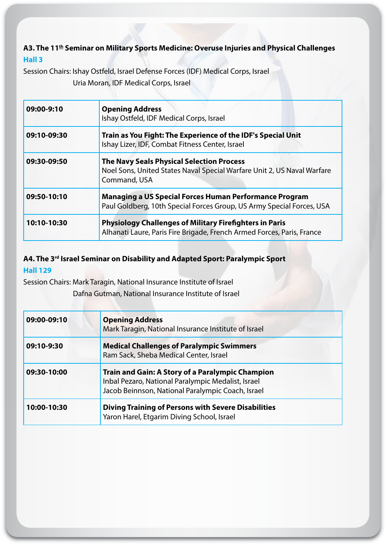### A3. The 11<sup>th</sup> Seminar on Military Sports Medicine: Overuse Injuries and Physical Challenges **3 Hall**

Session Chairs: Ishay Ostfeld, Israel Defense Forces (IDF) Medical Corps, Israel Uria Moran, IDF Medical Corps, Israel

| 09:00-9:10  | <b>Opening Address</b><br>Ishay Ostfeld, IDF Medical Corps, Israel                                                                          |
|-------------|---------------------------------------------------------------------------------------------------------------------------------------------|
| 09:10-09:30 | Train as You Fight: The Experience of the IDF's Special Unit<br>Ishay Lizer, IDF, Combat Fitness Center, Israel                             |
| 09:30-09:50 | <b>The Navy Seals Physical Selection Process</b><br>Noel Sons, United States Naval Special Warfare Unit 2, US Naval Warfare<br>Command, USA |
| 09:50-10:10 | <b>Managing a US Special Forces Human Performance Program</b><br>Paul Goldberg, 10th Special Forces Group, US Army Special Forces, USA      |
| 10:10-10:30 | <b>Physiology Challenges of Military Firefighters in Paris</b><br>Alhanati Laure, Paris Fire Brigade, French Armed Forces, Paris, France    |

### A4. The 3<sup>rd</sup> Israel Seminar on Disability and Adapted Sport: Paralympic Sport **129 Hall**

Session Chairs: Mark Taragin, National Insurance Institute of Israel

Dafna Gutman, National Insurance Institute of Israel

| 09:00-09:10 | <b>Opening Address</b><br>Mark Taragin, National Insurance Institute of Israel                                                                              |
|-------------|-------------------------------------------------------------------------------------------------------------------------------------------------------------|
| 09:10-9:30  | <b>Medical Challenges of Paralympic Swimmers</b><br>Ram Sack, Sheba Medical Center, Israel                                                                  |
| 09:30-10:00 | Train and Gain: A Story of a Paralympic Champion<br>Inbal Pezaro, National Paralympic Medalist, Israel<br>Jacob Beinnson, National Paralympic Coach, Israel |
| 10:00-10:30 | <b>Diving Training of Persons with Severe Disabilities</b><br>Yaron Harel, Etgarim Diving School, Israel                                                    |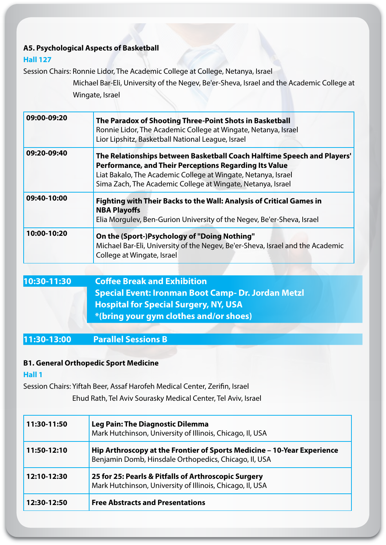### **A5. Psychological Aspects of Basketball**

#### **127 Hall**

Session Chairs: Ronnie Lidor, The Academic College at College, Netanya, Israel

Michael Bar-Eli, University of the Negev, Be'er-Sheva, Israel and the Academic College at Wingate, Israel

| 09:00-09:20 | The Paradox of Shooting Three-Point Shots in Basketball<br>Ronnie Lidor, The Academic College at Wingate, Netanya, Israel<br>Lior Lipshitz, Basketball National League, Israel                                                                                    |
|-------------|-------------------------------------------------------------------------------------------------------------------------------------------------------------------------------------------------------------------------------------------------------------------|
| 09:20-09:40 | The Relationships between Basketball Coach Halftime Speech and Players'<br>Performance, and Their Perceptions Regarding Its Value<br>Liat Bakalo, The Academic College at Wingate, Netanya, Israel<br>Sima Zach, The Academic College at Wingate, Netanya, Israel |
| 09:40-10:00 | Fighting with Their Backs to the Wall: Analysis of Critical Games in<br><b>NBA Playoffs</b><br>Elia Morgulev, Ben-Gurion University of the Negev, Be'er-Sheva, Israel                                                                                             |
| 10:00-10:20 | On the (Sport-)Psychology of "Doing Nothing"<br>Michael Bar-Eli, University of the Negev, Be'er-Sheva, Israel and the Academic<br>College at Wingate, Israel                                                                                                      |

| 10:30-11:30 | <b>Coffee Break and Exhibition</b>                  |
|-------------|-----------------------------------------------------|
|             | Special Event: Ironman Boot Camp- Dr. Jordan Metzl  |
|             | <b>Hospital for Special Surgery, NY, USA</b>        |
|             | $\mathbb{R}$ *(bring your gym clothes and/or shoes) |
|             |                                                     |

**B Sessions Parallel 11:30-13:00**

#### **B1. General Orthopedic Sport Medicine**

#### **1 Hall**

Session Chairs: Yiftah Beer, Assaf Harofeh Medical Center, Zerifin, Israel Ehud Rath, Tel Aviv Sourasky Medical Center, Tel Aviv, Israel

| 11:30-11:50 | <b>Leg Pain: The Diagnostic Dilemma</b><br>Mark Hutchinson, University of Illinois, Chicago, II, USA                             |
|-------------|----------------------------------------------------------------------------------------------------------------------------------|
| 11:50-12:10 | Hip Arthroscopy at the Frontier of Sports Medicine - 10-Year Experience<br>Benjamin Domb, Hinsdale Orthopedics, Chicago, II, USA |
| 12:10-12:30 | 25 for 25: Pearls & Pitfalls of Arthroscopic Surgery<br>Mark Hutchinson, University of Illinois, Chicago, II, USA                |
| 12:30-12:50 | <b>Free Abstracts and Presentations</b>                                                                                          |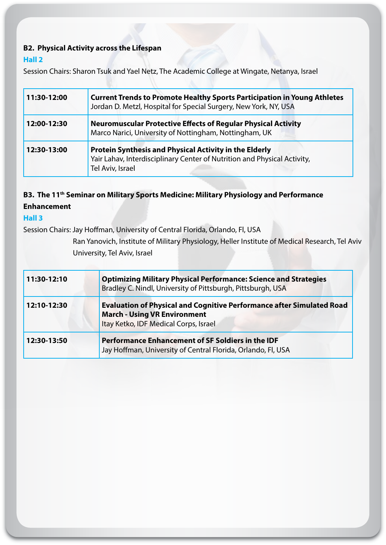### **B2. Physical Activity across the Lifespan**

#### **2 Hall**

Session Chairs: Sharon Tsuk and Yael Netz, The Academic College at Wingate, Netanya, Israel

| 11:30-12:00 | <b>Current Trends to Promote Healthy Sports Participation in Young Athletes</b><br>Jordan D. Metzl, Hospital for Special Surgery, New York, NY, USA    |
|-------------|--------------------------------------------------------------------------------------------------------------------------------------------------------|
| 12:00-12:30 | <b>Neuromuscular Protective Effects of Regular Physical Activity</b><br>Marco Narici, University of Nottingham, Nottingham, UK                         |
| 12:30-13:00 | Protein Synthesis and Physical Activity in the Elderly<br>Yair Lahav, Interdisciplinary Center of Nutrition and Physical Activity,<br>Tel Aviv, Israel |

### **B3. The 11<sup>th</sup> Seminar on Military Sports Medicine: Military Physiology and Performance Enhancement**

#### **3 Hall**

Session Chairs: Jay Hoffman, University of Central Florida, Orlando, Fl, USA

Ran Yanovich, Institute of Military Physiology, Heller Institute of Medical Research, Tel Aviv University, Tel Aviv, Israel

| 11:30-12:10 | <b>Optimizing Military Physical Performance: Science and Strategies</b><br>Bradley C. Nindl, University of Pittsburgh, Pittsburgh, USA                       |
|-------------|--------------------------------------------------------------------------------------------------------------------------------------------------------------|
| 12:10-12:30 | <b>Evaluation of Physical and Cognitive Performance after Simulated Road</b><br><b>March - Using VR Environment</b><br>Itay Ketko, IDF Medical Corps, Israel |
| 12:30-13:50 | Performance Enhancement of SF Soldiers in the IDF<br>Jay Hoffman, University of Central Florida, Orlando, Fl, USA                                            |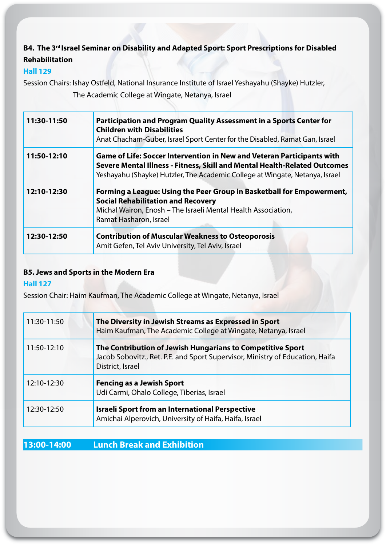## B4. The 3<sup>rd</sup> Israel Seminar on Disability and Adapted Sport: Sport Prescriptions for Disabled **Rehabilitation**

#### **129 Hall**

Session Chairs: Ishay Ostfeld, National Insurance Institute of Israel Yeshayahu (Shayke) Hutzler, The Academic College at Wingate, Netanya, Israel

| 11:30-11:50 | Participation and Program Quality Assessment in a Sports Center for<br><b>Children with Disabilities</b><br>Anat Chacham-Guber, Israel Sport Center for the Disabled, Ramat Gan, Israel                                                    |
|-------------|--------------------------------------------------------------------------------------------------------------------------------------------------------------------------------------------------------------------------------------------|
| 11:50-12:10 | <b>Game of Life: Soccer Intervention in New and Veteran Participants with</b><br>Severe Mental Illness - Fitness, Skill and Mental Health-Related Outcomes<br>Yeshayahu (Shayke) Hutzler, The Academic College at Wingate, Netanya, Israel |
| 12:10-12:30 | Forming a League: Using the Peer Group in Basketball for Empowerment,<br><b>Social Rehabilitation and Recovery</b><br>Michal Wairon, Enosh - The Israeli Mental Health Association,<br>Ramat Hasharon, Israel                              |
| 12:30-12:50 | <b>Contribution of Muscular Weakness to Osteoporosis</b><br>Amit Gefen, Tel Aviv University, Tel Aviv, Israel                                                                                                                              |

### **B5. Jews and Sports in the Modern Era**

#### **127 Hall**

Session Chair: Haim Kaufman, The Academic College at Wingate, Netanya, Israel

| 11:30-11:50 | The Diversity in Jewish Streams as Expressed in Sport<br>Haim Kaufman, The Academic College at Wingate, Netanya, Israel                                         |
|-------------|-----------------------------------------------------------------------------------------------------------------------------------------------------------------|
| 11:50-12:10 | The Contribution of Jewish Hungarians to Competitive Sport<br>Jacob Sobovitz., Ret. P.E. and Sport Supervisor, Ministry of Education, Haifa<br>District, Israel |
| 12:10-12:30 | <b>Fencing as a Jewish Sport</b><br>Udi Carmi, Ohalo College, Tiberias, Israel                                                                                  |
| 12:30-12:50 | <b>Israeli Sport from an International Perspective</b><br>Amichai Alperovich, University of Haifa, Haifa, Israel                                                |

### **13:00-14:00** Lunch Break and Exhibition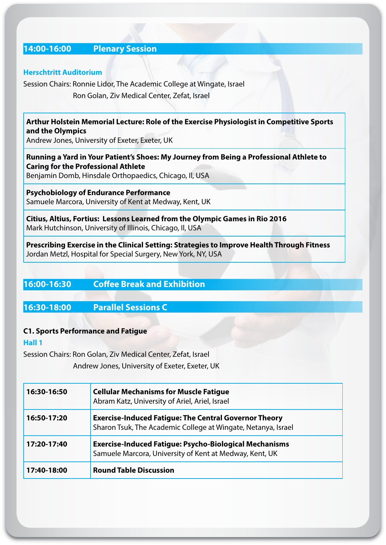### **Session Plenary 14:00-16:00**

#### **Herschtritt Auditorium**

Session Chairs: Ronnie Lidor, The Academic College at Wingate, Israel Ron Golan, Ziv Medical Center, Zefat, Israel

#### **Arthur Holstein Memorial Lecture: Role of the Exercise Physiologist in Competitive Sports** and the Olympics

Andrew Jones, University of Exeter, Exeter, UK

### **Running a Yard in Your Patient's Shoes: My Journey from Being a Professional Athlete to Caring for the Professional Athlete**

Benjamin Domb, Hinsdale Orthopaedics, Chicago, Il, USA

**Psychobiology of Endurance Performance** Samuele Marcora, University of Kent at Medway, Kent, UK

**Citius, Altius, Fortius: Lessons Learned from the Olympic Games in Rio 2016** Mark Hutchinson, University of Illinois, Chicago, II, USA

**Prescribing Exercise in the Clinical Setting: Strategies to Improve Health Through Fitness** Jordan Metzl, Hospital for Special Surgery, New York, NY, USA

### **16:00-16:30** Coffee Break and Exhibition

#### **C Sessions Parallel 16:30-18:00**

#### **C1. Sports Performance and Fatigue**

#### **1 Hall**

Session Chairs: Ron Golan, Ziv Medical Center, Zefat, Israel

Andrew Jones, University of Exeter, Exeter, UK

| 16:30-16:50 | <b>Cellular Mechanisms for Muscle Fatigue</b><br>Abram Katz, University of Ariel, Ariel, Israel                               |
|-------------|-------------------------------------------------------------------------------------------------------------------------------|
| 16:50-17:20 | <b>Exercise-Induced Fatigue: The Central Governor Theory</b><br>Sharon Tsuk, The Academic College at Wingate, Netanya, Israel |
| 17:20-17:40 | <b>Exercise-Induced Fatigue: Psycho-Biological Mechanisms</b><br>Samuele Marcora, University of Kent at Medway, Kent, UK      |
| 17:40-18:00 | <b>Round Table Discussion</b>                                                                                                 |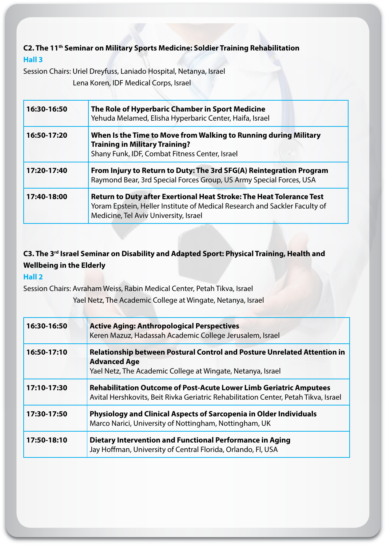### **C2. The 11<sup>th</sup> Seminar on Military Sports Medicine: Soldier Training Rehabilitation 3 Hall**

Session Chairs: Uriel Dreyfuss, Laniado Hospital, Netanya, Israel Lena Koren, IDF Medical Corps, Israel

| 16:30-16:50 | The Role of Hyperbaric Chamber in Sport Medicine<br>Yehuda Melamed, Elisha Hyperbaric Center, Haifa, Israel                                                                                        |
|-------------|----------------------------------------------------------------------------------------------------------------------------------------------------------------------------------------------------|
| 16:50-17:20 | When Is the Time to Move from Walking to Running during Military<br><b>Training in Military Training?</b><br>Shany Funk, IDF, Combat Fitness Center, Israel                                        |
| 17:20-17:40 | From Injury to Return to Duty: The 3rd SFG(A) Reintegration Program<br>Raymond Bear, 3rd Special Forces Group, US Army Special Forces, USA                                                         |
| 17:40-18:00 | <b>Return to Duty after Exertional Heat Stroke: The Heat Tolerance Test</b><br>Yoram Epstein, Heller Institute of Medical Research and Sackler Faculty of<br>Medicine, Tel Aviv University, Israel |

## **C3. The 3<sup>rd</sup> Israel Seminar on Disability and Adapted Sport: Physical Training, Health and Wellbeing in the Elderly**

#### **2 Hall**

Session Chairs: Avraham Weiss, Rabin Medical Center, Petah Tikva, Israel Yael Netz, The Academic College at Wingate, Netanya, Israel

| 16:30-16:50 | <b>Active Aging: Anthropological Perspectives</b><br>Keren Mazuz, Hadassah Academic College Jerusalem, Israel                                                         |
|-------------|-----------------------------------------------------------------------------------------------------------------------------------------------------------------------|
| 16:50-17:10 | <b>Relationship between Postural Control and Posture Unrelated Attention in</b><br><b>Advanced Age</b><br>Yael Netz, The Academic College at Wingate, Netanya, Israel |
| 17:10-17:30 | <b>Rehabilitation Outcome of Post-Acute Lower Limb Geriatric Amputees</b><br>Avital Hershkovits, Beit Rivka Geriatric Rehabilitation Center, Petah Tikva, Israel      |
| 17:30-17:50 | Physiology and Clinical Aspects of Sarcopenia in Older Individuals<br>Marco Narici, University of Nottingham, Nottingham, UK                                          |
| 17:50-18:10 | <b>Dietary Intervention and Functional Performance in Aging</b><br>Jay Hoffman, University of Central Florida, Orlando, Fl, USA                                       |